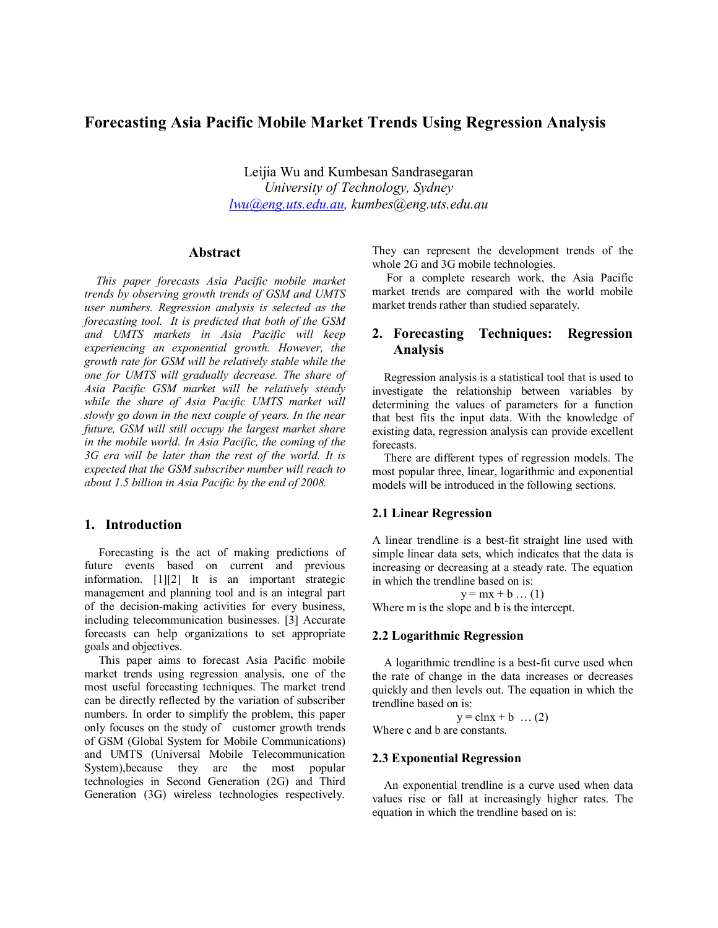# **Forecasting Asia Pacific Mobile Market Trends Using Regression Analysis**

Leijia Wu and Kumbesan Sandrasegaran *University of Technology, Sydney lwu@eng.uts.edu.au, kumbes@eng.uts.edu.au*

## **Abstract**

*This paper forecasts Asia Pacific mobile market trends by observing growth trends of GSM and UMTS user numbers. Regression analysis is selected as the forecasting tool. It is predicted that both of the GSM and UMTS markets in Asia Pacific will keep experiencing an exponential growth. However, the growth rate for GSM will be relatively stable while the one for UMTS will gradually decrease. The share of Asia Pacific GSM market will be relatively steady while the share of Asia Pacific UMTS market will slowly go down in the next couple of years. In the near future, GSM will still occupy the largest market share in the mobile world. In Asia Pacific, the coming of the 3G era will be later than the rest of the world. It is expected that the GSM subscriber number will reach to about 1.5 billion in Asia Pacific by the end of 2008.*

# **1. Introduction**

Forecasting is the act of making predictions of future events based on current and previous information. [1][2] It is an important strategic management and planning tool and is an integral part of the decision-making activities for every business, including telecommunication businesses. [3] Accurate forecasts can help organizations to set appropriate goals and objectives.

This paper aims to forecast Asia Pacific mobile market trends using regression analysis, one of the most useful forecasting techniques. The market trend can be directly reflected by the variation of subscriber numbers. In order to simplify the problem, this paper only focuses on the study of customer growth trends of GSM (Global System for Mobile Communications) and UMTS (Universal Mobile Telecommunication System),because they are the most popular technologies in Second Generation (2G) and Third Generation (3G) wireless technologies respectively.

They can represent the development trends of the whole 2G and 3G mobile technologies.

For a complete research work, the Asia Pacific market trends are compared with the world mobile market trends rather than studied separately.

# **2. Forecasting Techniques: Regression Analysis**

Regression analysis is a statistical tool that is used to investigate the relationship between variables by determining the values of parameters for a function that best fits the input data. With the knowledge of existing data, regression analysis can provide excellent forecasts.

There are different types of regression models. The most popular three, linear, logarithmic and exponential models will be introduced in the following sections.

#### **2.1 Linear Regression**

A linear trendline is a best-fit straight line used with simple linear data sets, which indicates that the data is increasing or decreasing at a steady rate. The equation in which the trendline based on is:

 $y = mx + b$  ... (1)

Where m is the slope and b is the intercept.

#### **2.2 Logarithmic Regression**

A logarithmic trendline is a best-fit curve used when the rate of change in the data increases or decreases quickly and then levels out. The equation in which the trendline based on is:

 $y = clnx + b$  ... (2) Where c and b are constants.

#### **2.3 Exponential Regression**

An exponential trendline is a curve used when data values rise or fall at increasingly higher rates. The equation in which the trendline based on is: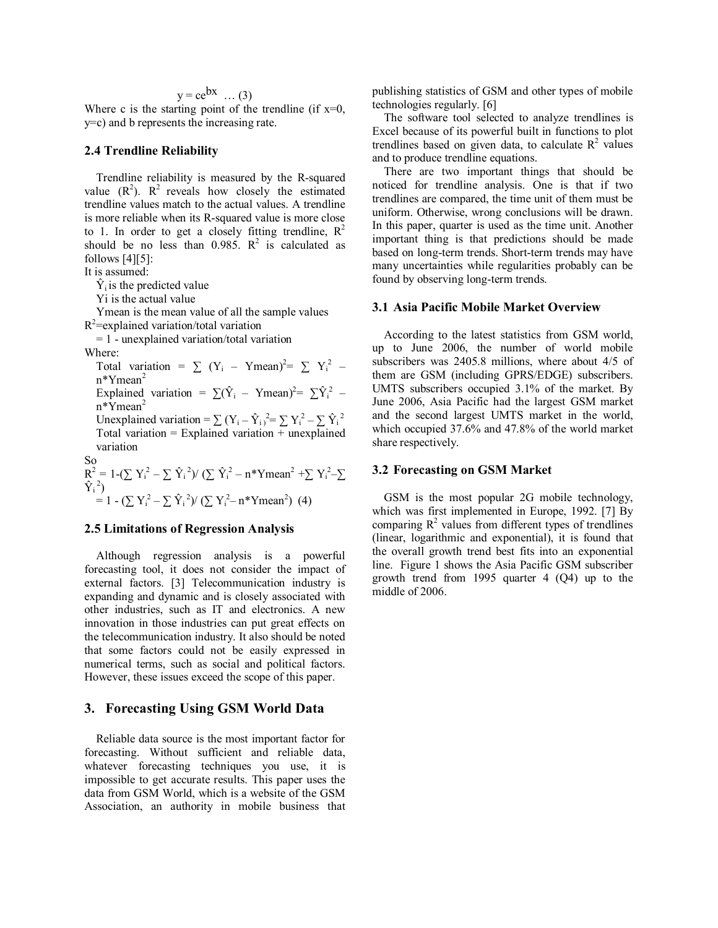# $y = ce^{bx}$  … (3)

Where c is the starting point of the trendline (if  $x=0$ , y=c) and b represents the increasing rate.

#### **2.4 Trendline Reliability**

Trendline reliability is measured by the R-squared value  $(R^2)$ .  $R^2$  reveals how closely the estimated trendline values match to the actual values. A trendline is more reliable when its R-squared value is more close to 1. In order to get a closely fitting trendline,  $R^2$ should be no less than  $0.985$ .  $R^2$  is calculated as follows  $[4][5]$ :

It is assumed:

 $\hat{Y}_i$  is the predicted value

Yi is the actual value

Ymean is the mean value of all the sample values  $R^2$ =explained variation/total variation

 = 1 - unexplained variation/total variation Where:

Total variation =  $\sum (Y_i - Ymean)^2 = \sum Y_i^2$  – n\*Ymean<sup>2</sup> Explained variation =  $\sum (\hat{Y}_i - Ymean)^2 = \sum \hat{Y}_i^2$  – n\*Ymean<sup>2</sup> Unexplained variation =  $\sum (Y_i - \hat{Y}_i)^2 = \sum Y_i^2 - \sum \hat{Y}_i^2$ Total variation  $=$  Explained variation  $+$  unexplained variation So

 $R^2 = 1 - (\sum Y_i^2 - \sum \hat{Y}_i^2)/(\sum \hat{Y}_i^2 - n^*Ymean^2 + \sum Y_i^2 - \sum$  $\hat{Y}_i{}^2$ )  $= 1 - (\sum Y_i^2 - \sum \hat{Y}_i^2)/(\sum Y_i^2 - n^*Ymean^2)$  (4)

## **2.5 Limitations of Regression Analysis**

Although regression analysis is a powerful forecasting tool, it does not consider the impact of external factors. [3] Telecommunication industry is expanding and dynamic and is closely associated with other industries, such as IT and electronics. A new innovation in those industries can put great effects on the telecommunication industry. It also should be noted that some factors could not be easily expressed in numerical terms, such as social and political factors. However, these issues exceed the scope of this paper.

## **3. Forecasting Using GSM World Data**

Reliable data source is the most important factor for forecasting. Without sufficient and reliable data, whatever forecasting techniques you use, it is impossible to get accurate results. This paper uses the data from GSM World, which is a website of the GSM Association, an authority in mobile business that publishing statistics of GSM and other types of mobile technologies regularly. [6]

The software tool selected to analyze trendlines is Excel because of its powerful built in functions to plot trendlines based on given data, to calculate  $\mathbb{R}^2$  values and to produce trendline equations.

There are two important things that should be noticed for trendline analysis. One is that if two trendlines are compared, the time unit of them must be uniform. Otherwise, wrong conclusions will be drawn. In this paper, quarter is used as the time unit. Another important thing is that predictions should be made based on long-term trends. Short-term trends may have many uncertainties while regularities probably can be found by observing long-term trends.

#### **3.1 Asia Pacific Mobile Market Overview**

According to the latest statistics from GSM world, up to June 2006, the number of world mobile subscribers was 2405.8 millions, where about 4/5 of them are GSM (including GPRS/EDGE) subscribers. UMTS subscribers occupied 3.1% of the market. By June 2006, Asia Pacific had the largest GSM market and the second largest UMTS market in the world, which occupied 37.6% and 47.8% of the world market share respectively.

## **3.2 Forecasting on GSM Market**

GSM is the most popular 2G mobile technology, which was first implemented in Europe, 1992. [7] By comparing  $R^2$  values from different types of trendlines (linear, logarithmic and exponential), it is found that the overall growth trend best fits into an exponential line. Figure 1 shows the Asia Pacific GSM subscriber growth trend from 1995 quarter 4 (Q4) up to the middle of 2006.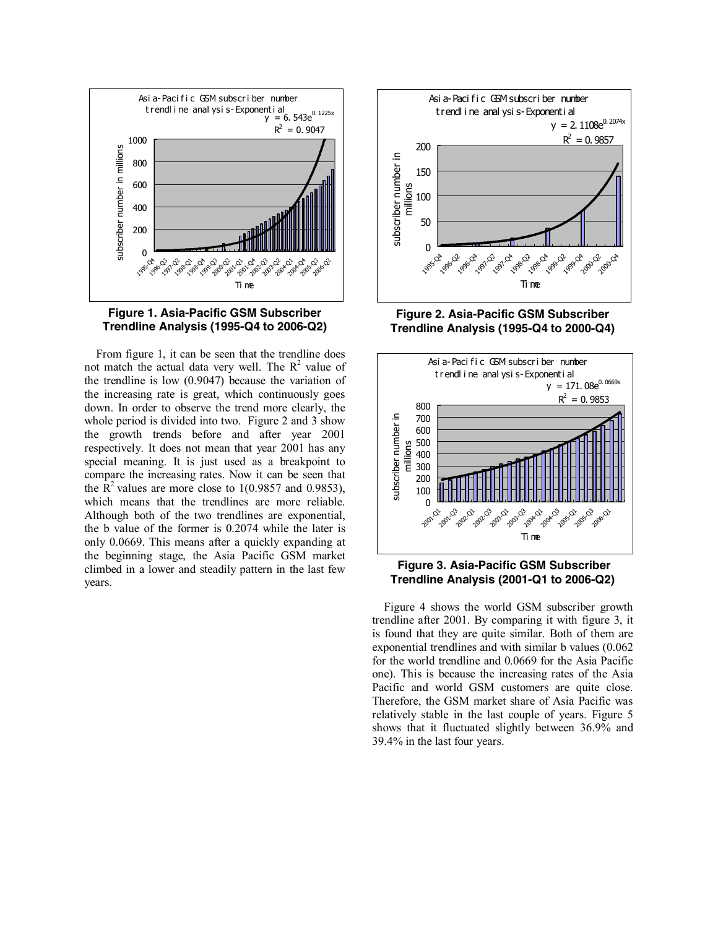



From figure 1, it can be seen that the trendline does not match the actual data very well. The  $R^2$  value of the trendline is low (0.9047) because the variation of the increasing rate is great, which continuously goes down. In order to observe the trend more clearly, the whole period is divided into two. Figure 2 and 3 show the growth trends before and after year 2001 respectively. It does not mean that year 2001 has any special meaning. It is just used as a breakpoint to compare the increasing rates. Now it can be seen that the  $\mathbb{R}^2$  values are more close to 1(0.9857 and 0.9853), which means that the trendlines are more reliable. Although both of the two trendlines are exponential, the b value of the former is 0.2074 while the later is only 0.0669. This means after a quickly expanding at the beginning stage, the Asia Pacific GSM market climbed in a lower and steadily pattern in the last few years.



**Figure 2. Asia-Pacific GSM Subscriber Trendline Analysis (1995-Q4 to 2000-Q4)** 





Figure 4 shows the world GSM subscriber growth trendline after 2001. By comparing it with figure 3, it is found that they are quite similar. Both of them are exponential trendlines and with similar b values (0.062 for the world trendline and 0.0669 for the Asia Pacific one). This is because the increasing rates of the Asia Pacific and world GSM customers are quite close. Therefore, the GSM market share of Asia Pacific was relatively stable in the last couple of years. Figure 5 shows that it fluctuated slightly between 36.9% and 39.4% in the last four years.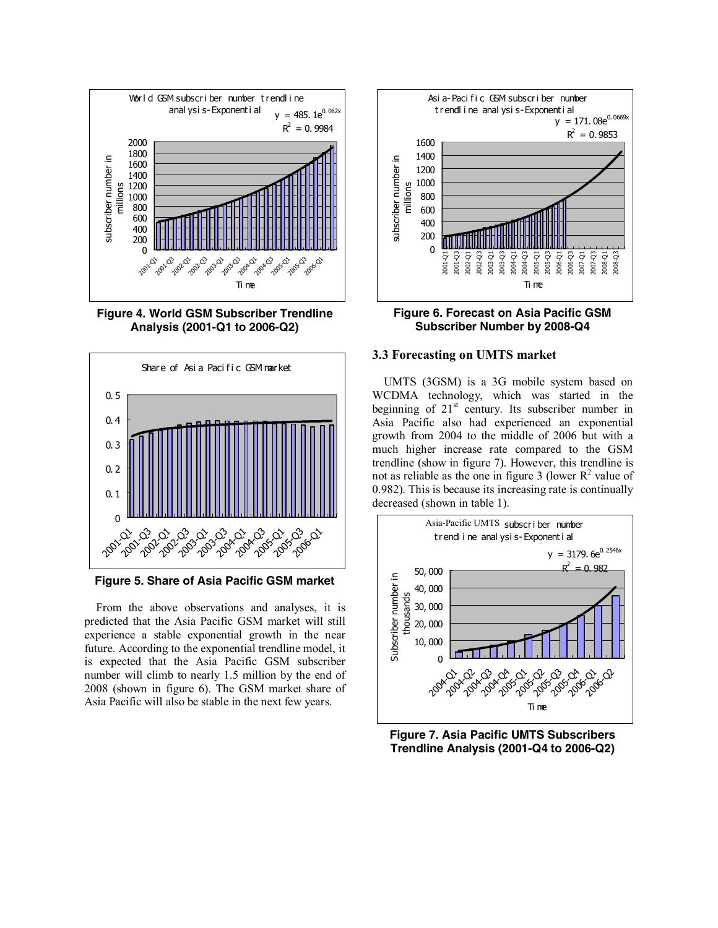

**Figure 4. World GSM Subscriber Trendline Analysis (2001-Q1 to 2006-Q2)** 



**Figure 5. Share of Asia Pacific GSM market** 

From the above observations and analyses, it is predicted that the Asia Pacific GSM market will still experience a stable exponential growth in the near future. According to the exponential trendline model, it is expected that the Asia Pacific GSM subscriber number will climb to nearly 1.5 million by the end of 2008 (shown in figure 6). The GSM market share of Asia Pacific will also be stable in the next few years.





#### **3.3 Forecasting on UMTS market**

UMTS (3GSM) is a 3G mobile system based on WCDMA technology, which was started in the beginning of  $21<sup>st</sup>$  century. Its subscriber number in Asia Pacific also had experienced an exponential growth from 2004 to the middle of 2006 but with a much higher increase rate compared to the GSM trendline (show in figure 7). However, this trendline is not as reliable as the one in figure 3 (lower  $\mathbb{R}^2$  value of 0.982). This is because its increasing rate is continually decreased (shown in table 1).



**Figure 7. Asia Pacific UMTS Subscribers Trendline Analysis (2001-Q4 to 2006-Q2)**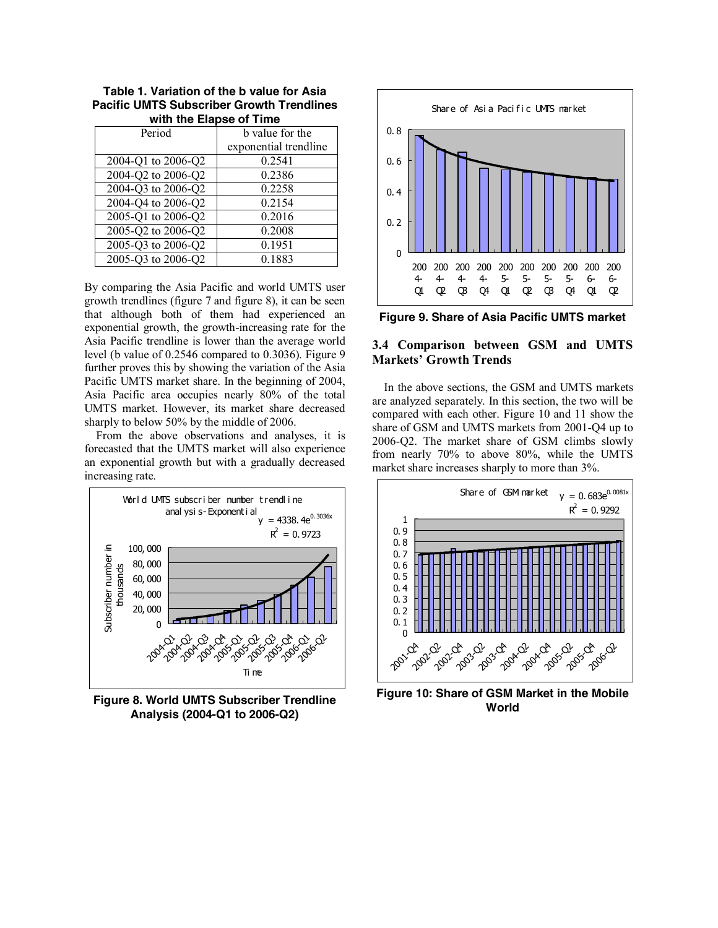| with the Elapse of Time   |                       |  |  |
|---------------------------|-----------------------|--|--|
| Period<br>b value for the |                       |  |  |
|                           | exponential trendline |  |  |
| 2004-Q1 to 2006-Q2        | 0.2541                |  |  |
| 2004-Q2 to 2006-Q2        | 0.2386                |  |  |
| 2004-Q3 to 2006-Q2        | 0.2258                |  |  |
| 2004-Q4 to 2006-Q2        | 0.2154                |  |  |
| 2005-Q1 to 2006-Q2        | 0.2016                |  |  |
| 2005-Q2 to 2006-Q2        | 0.2008                |  |  |
| 2005-Q3 to 2006-Q2        | 0.1951                |  |  |
| 2005-Q3 to 2006-Q2        | 0.1883                |  |  |

**Table 1. Variation of the b value for Asia Pacific UMTS Subscriber Growth Trendlines with the Elapse of Time** 

By comparing the Asia Pacific and world UMTS user growth trendlines (figure 7 and figure 8), it can be seen that although both of them had experienced an exponential growth, the growth-increasing rate for the Asia Pacific trendline is lower than the average world level (b value of 0.2546 compared to 0.3036). Figure 9 further proves this by showing the variation of the Asia Pacific UMTS market share. In the beginning of 2004, Asia Pacific area occupies nearly 80% of the total UMTS market. However, its market share decreased sharply to below 50% by the middle of 2006.

From the above observations and analyses, it is forecasted that the UMTS market will also experience an exponential growth but with a gradually decreased increasing rate.



**Figure 8. World UMTS Subscriber Trendline Analysis (2004-Q1 to 2006-Q2)** 



**Figure 9. Share of Asia Pacific UMTS market**

## **3.4 Comparison between GSM and UMTS Markets' Growth Trends**

In the above sections, the GSM and UMTS markets are analyzed separately. In this section, the two will be compared with each other. Figure 10 and 11 show the share of GSM and UMTS markets from 2001-Q4 up to 2006-Q2. The market share of GSM climbs slowly from nearly 70% to above 80%, while the UMTS market share increases sharply to more than 3%.



**Figure 10: Share of GSM Market in the Mobile World**